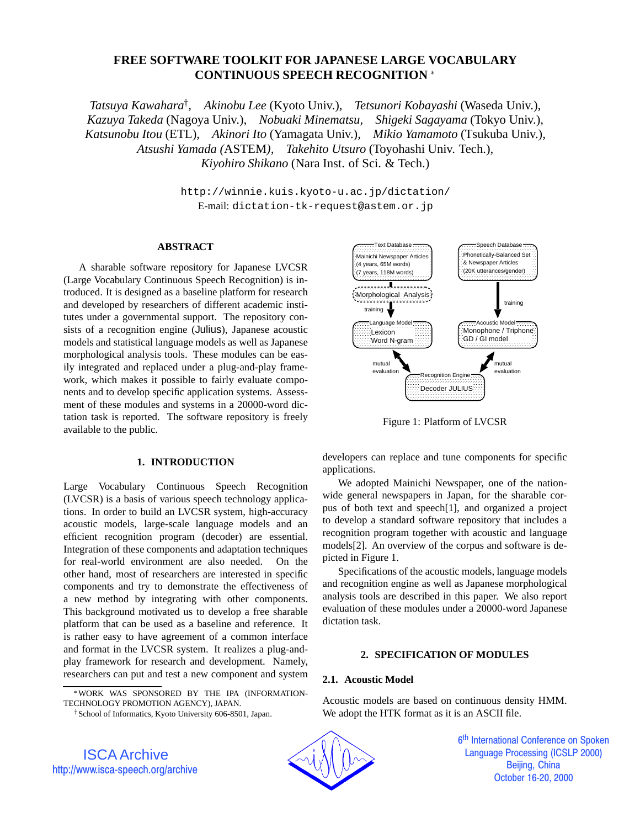## **FREE SOFTWARE TOOLKIT FOR JAPANESE LARGE VOCABULARY CONTINUOUS SPEECH RECOGNITION**

*Tatsuya Kawahara<sup>†</sup>, Akinobu Lee* (Kyoto Univ.), *Tetsunori Kobayashi* (Waseda Univ.), *Kazuya Takeda* (Nagoya Univ.)*, Nobuaki Minematsu, Shigeki Sagayama* (Tokyo Univ.)*, Katsunobu Itou* (ETL)*, Akinori Ito* (Yamagata Univ.)*, Mikio Yamamoto* (Tsukuba Univ.)*, Atsushi Yamada (*ASTEM*), Takehito Utsuro* (Toyohashi Univ. Tech.)*, Kiyohiro Shikano* (Nara Inst. of Sci. & Tech.)

> http://winnie.kuis.kyoto-u.ac.jp/dictation/ E-mail: dictation-tk-request@astem.or.jp

### **ABSTRACT**

A sharable software repository for Japanese LVCSR (Large Vocabulary Continuous Speech Recognition) is introduced. It is designed as a baseline platform for research and developed by researchers of different academic institutes under a governmental support. The repository consists of a recognition engine (Julius), Japanese acoustic models and statistical language models as well as Japanese morphological analysis tools. These modules can be easily integrated and replaced under a plug-and-play framework, which makes it possible to fairly evaluate components and to develop specific application systems. Assessment of these modules and systems in a 20000-word dictation task is reported. The software repository is freely available to the public.

## **1. INTRODUCTION**

Large Vocabulary Continuous Speech Recognition (LVCSR) is a basis of various speech technology applications. In order to build an LVCSR system, high-accuracy acoustic models, large-scale language models and an efficient recognition program (decoder) are essential. Integration of these components and adaptation techniques for real-world environment are also needed. On the other hand, most of researchers are interested in specific components and try to demonstrate the effectiveness of a new method by integrating with other components. This background motivated us to develop a free sharable platform that can be used as a baseline and reference. It is rather easy to have agreement of a common interface and format in the LVCSR system. It realizes a plug-andplay framework for research and development. Namely, researchers can put and test a new component and system



Figure 1: Platform of LVCSR

developers can replace and tune components for specific applications.

We adopted Mainichi Newspaper, one of the nationwide general newspapers in Japan, for the sharable corpus of both text and speech[1], and organized a project to develop a standard software repository that includes a recognition program together with acoustic and language models[2]. An overview of the corpus and software is depicted in Figure 1.

Specifications of the acoustic models, language models and recognition engine as well as Japanese morphological analysis tools are described in this paper. We also report evaluation of these modules under a 20000-word Japanese dictation task.

## **2. SPECIFICATION OF MODULES**

## **2.1. Acoustic Model**

Acoustic models are based on continuous density HMM. We adopt the HTK format as it is an ASCII file.



6<sup>th</sup> International Conference on Spoken j **Language Processing (ICSLP 2000)** Beijing, China October 16-20, 2000

WORK WAS SPONSORED BY THE IPA (INFORMATION-TECHNOLOGY PROMOTION AGENCY), JAPAN.

<sup>&</sup>lt;sup>†</sup> School of Informatics, Kyoto University 606-8501, Japan.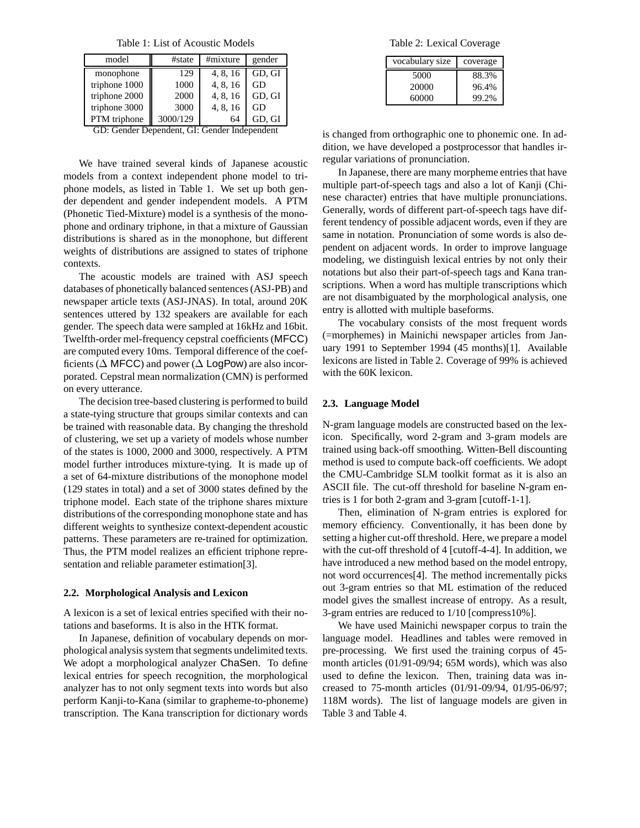Table 1: List of Acoustic Models

| model         | #state   | #mixture | gender |
|---------------|----------|----------|--------|
| monophone     | 129      | 4, 8, 16 | GD. GI |
| triphone 1000 | 1000     | 4, 8, 16 | GD     |
| triphone 2000 | 2000     | 4, 8, 16 | GD, GI |
| triphone 3000 | 3000     | 4, 8, 16 | GD     |
| PTM triphone  | 3000/129 | 64       | GD. GI |

GD: Gender Dependent, GI: Gender Independent

We have trained several kinds of Japanese acoustic models from a context independent phone model to triphone models, as listed in Table 1. We set up both gender dependent and gender independent models. A PTM (Phonetic Tied-Mixture) model is a synthesis of the monophone and ordinary triphone, in that a mixture of Gaussian distributions is shared as in the monophone, but different weights of distributions are assigned to states of triphone contexts.

The acoustic models are trained with ASJ speech databases of phonetically balanced sentences (ASJ-PB) and newspaper article texts (ASJ-JNAS). In total, around 20K sentences uttered by 132 speakers are available for each gender. The speech data were sampled at 16kHz and 16bit. Twelfth-order mel-frequency cepstral coefficients (MFCC) are computed every 10ms. Temporal difference of the coefficients ( $\Delta$  MFCC) and power ( $\Delta$  LogPow) are also incorporated. Cepstral mean normalization (CMN) is performed on every utterance.

The decision tree-based clustering is performed to build a state-tying structure that groups similar contexts and can be trained with reasonable data. By changing the threshold of clustering, we set up a variety of models whose number of the states is 1000, 2000 and 3000, respectively. A PTM model further introduces mixture-tying. It is made up of a set of 64-mixture distributions of the monophone model (129 states in total) and a set of 3000 states defined by the triphone model. Each state of the triphone shares mixture distributions of the corresponding monophone state and has different weights to synthesize context-dependent acoustic patterns. These parameters are re-trained for optimization. Thus, the PTM model realizes an efficient triphone representation and reliable parameter estimation[3].

#### **2.2. Morphological Analysis and Lexicon**

A lexicon is a set of lexical entries specified with their notations and baseforms. It is also in the HTK format.

In Japanese, definition of vocabulary depends on morphological analysis system that segments undelimited texts. We adopt a morphological analyzer ChaSen. To define lexical entries for speech recognition, the morphological analyzer has to not only segment texts into words but also perform Kanji-to-Kana (similar to grapheme-to-phoneme) transcription. The Kana transcription for dictionary words

Table 2: Lexical Coverage

| vocabulary size | coverage |
|-----------------|----------|
| 5000            | 88.3%    |
| 20000           | 96.4%    |
| 60000           | 99.2%    |

is changed from orthographic one to phonemic one. In addition, we have developed a postprocessor that handles irregular variations of pronunciation.

In Japanese, there are many morpheme entries that have multiple part-of-speech tags and also a lot of Kanji (Chinese character) entries that have multiple pronunciations. Generally, words of different part-of-speech tags have different tendency of possible adjacent words, even if they are same in notation. Pronunciation of some words is also dependent on adjacent words. In order to improve language modeling, we distinguish lexical entries by not only their notations but also their part-of-speech tags and Kana transcriptions. When a word has multiple transcriptions which are not disambiguated by the morphological analysis, one entry is allotted with multiple baseforms.

The vocabulary consists of the most frequent words (=morphemes) in Mainichi newspaper articles from January 1991 to September 1994 (45 months)[1]. Available lexicons are listed in Table 2. Coverage of 99% is achieved with the 60K lexicon.

#### **2.3. Language Model**

N-gram language models are constructed based on the lexicon. Specifically, word 2-gram and 3-gram models are trained using back-off smoothing. Witten-Bell discounting method is used to compute back-off coefficients. We adopt the CMU-Cambridge SLM toolkit format as it is also an ASCII file. The cut-off threshold for baseline N-gram entries is 1 for both 2-gram and 3-gram [cutoff-1-1].

Then, elimination of N-gram entries is explored for memory efficiency. Conventionally, it has been done by setting a higher cut-off threshold. Here, we prepare a model with the cut-off threshold of 4 [cutoff-4-4]. In addition, we have introduced a new method based on the model entropy, not word occurrences[4]. The method incrementally picks out 3-gram entries so that ML estimation of the reduced model gives the smallest increase of entropy. As a result, 3-gram entries are reduced to 1/10 [compress10%].

We have used Mainichi newspaper corpus to train the language model. Headlines and tables were removed in pre-processing. We first used the training corpus of 45 month articles (01/91-09/94; 65M words), which was also used to define the lexicon. Then, training data was increased to 75-month articles (01/91-09/94, 01/95-06/97; 118M words). The list of language models are given in Table 3 and Table 4.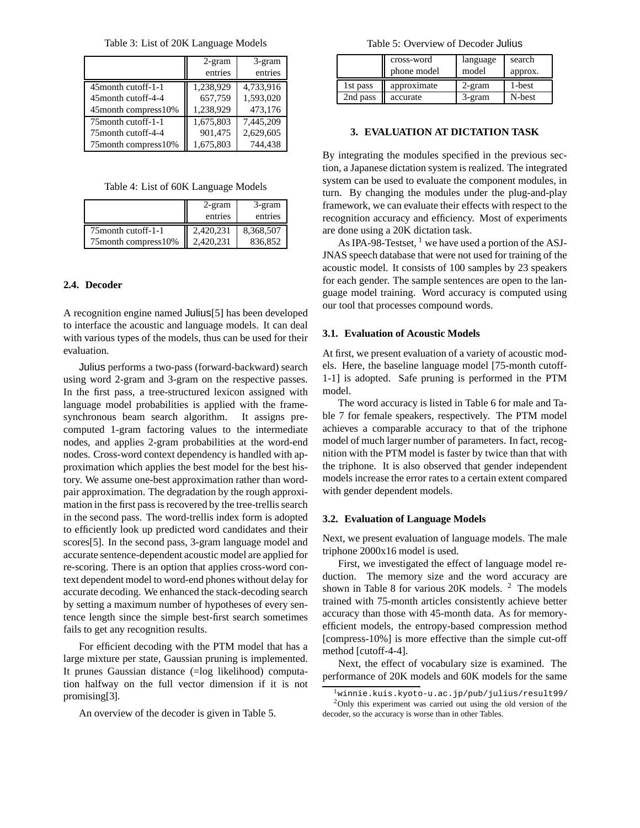Table 3: List of 20K Language Models

|                       | $2$ -gram | 3-gram    |
|-----------------------|-----------|-----------|
|                       | entries   | entries   |
| 45 month cutoff-1-1   | 1,238,929 | 4,733,916 |
| 45 month cutoff-4-4   | 657,759   | 1,593,020 |
| 45month compress10%   | 1,238,929 | 473,176   |
| 75 month cutoff-1-1   | 1,675,803 | 7,445,209 |
| 75 month cutoff-4-4   | 901,475   | 2,629,605 |
| 75 month compress 10% | 1,675,803 | 744.438   |

|  |  |  | Table 4: List of 60K Language Models |  |
|--|--|--|--------------------------------------|--|
|--|--|--|--------------------------------------|--|

|                       | 2-gram<br>entries | 3-gram<br>entries |
|-----------------------|-------------------|-------------------|
| 75 month cutoff-1-1   | 2,420,231         | 8,368,507         |
| 75 month compress 10% | 2.420.231         | 836,852           |

## **2.4. Decoder**

A recognition engine named Julius[5] has been developed to interface the acoustic and language models. It can deal with various types of the models, thus can be used for their evaluation.

Julius performs a two-pass (forward-backward) search using word 2-gram and 3-gram on the respective passes. In the first pass, a tree-structured lexicon assigned with language model probabilities is applied with the framesynchronous beam search algorithm. It assigns precomputed 1-gram factoring values to the intermediate nodes, and applies 2-gram probabilities at the word-end nodes. Cross-word context dependency is handled with approximation which applies the best model for the best history. We assume one-best approximation rather than wordpair approximation. The degradation by the rough approximation in the first pass is recovered by the tree-trellis search in the second pass. The word-trellis index form is adopted to efficiently look up predicted word candidates and their scores[5]. In the second pass, 3-gram language model and accurate sentence-dependent acoustic model are applied for re-scoring. There is an option that applies cross-word context dependent model to word-end phones without delay for accurate decoding. We enhanced the stack-decoding search by setting a maximum number of hypotheses of every sentence length since the simple best-first search sometimes fails to get any recognition results.

For efficient decoding with the PTM model that has a large mixture per state, Gaussian pruning is implemented. It prunes Gaussian distance (=log likelihood) computation halfway on the full vector dimension if it is not promising[3].

An overview of the decoder is given in Table 5.

Table 5: Overview of Decoder Julius

|          | cross-word  | language | search  |
|----------|-------------|----------|---------|
|          | phone model | model    | approx. |
| 1st pass | approximate | 2-gram   | 1-best  |
| 2nd pass | accurate    | 3-gram   | N-best  |

### **3. EVALUATION AT DICTATION TASK**

By integrating the modules specified in the previous section, a Japanese dictation system is realized. The integrated system can be used to evaluate the component modules, in turn. By changing the modules under the plug-and-play framework, we can evaluate their effects with respect to the recognition accuracy and efficiency. Most of experiments are done using a 20K dictation task.

As IPA-98-Testset, <sup>1</sup> we have used a portion of the ASJ-JNAS speech database that were not used for training of the acoustic model. It consists of 100 samples by 23 speakers for each gender. The sample sentences are open to the language model training. Word accuracy is computed using our tool that processes compound words.

#### **3.1. Evaluation of Acoustic Models**

At first, we present evaluation of a variety of acoustic models. Here, the baseline language model [75-month cutoff-1-1] is adopted. Safe pruning is performed in the PTM model.

The word accuracy is listed in Table 6 for male and Table 7 for female speakers, respectively. The PTM model achieves a comparable accuracy to that of the triphone model of much larger number of parameters. In fact, recognition with the PTM model is faster by twice than that with the triphone. It is also observed that gender independent models increase the error rates to a certain extent compared with gender dependent models.

#### **3.2. Evaluation of Language Models**

Next, we present evaluation of language models. The male triphone 2000x16 model is used.

First, we investigated the effect of language model reduction. The memory size and the word accuracy are shown in Table 8 for various 20K models. <sup>2</sup> The models trained with 75-month articles consistently achieve better accuracy than those with 45-month data. As for memoryefficient models, the entropy-based compression method [compress-10%] is more effective than the simple cut-off method [cutoff-4-4].

Next, the effect of vocabulary size is examined. The performance of 20K models and 60K models for the same

<sup>&</sup>lt;sup>1</sup>winnie.kuis.kyoto-u.ac.jp/pub/julius/result99/  $2$ Only this experiment was carried out using the old version of the decoder, so the accuracy is worse than in other Tables.